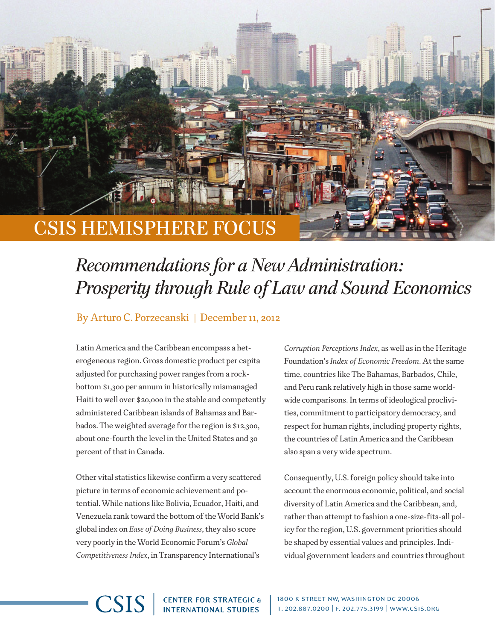## CSIS Hemisphere Focus

## *Recommendations for a New Administration: Prosperity through Rule of Law and Sound Economics*

## By Arturo C. Porzecanski | December 11, 2012

Latin America and the Caribbean encompass a heterogeneous region. Gross domestic product per capita adjusted for purchasing power ranges from a rockbottom \$1,300 per annum in historically mismanaged Haiti to well over \$20,000 in the stable and competently administered Caribbean islands of Bahamas and Barbados. The weighted average for the region is \$12,300, about one-fourth the level in the United States and 30 percent of that in Canada.

Other vital statistics likewise confirm a very scattered picture in terms of economic achievement and potential. While nations like Bolivia, Ecuador, Haiti, and Venezuela rank toward the bottom of the World Bank's global index on *Ease of Doing Business*, they also score very poorly in the World Economic Forum's *Global Competitiveness Index*, in Transparency International's

**CSIS** 

*Corruption Perceptions Index*, as well as in the Heritage Foundation's *Index of Economic Freedom*. At the same time, countries like The Bahamas, Barbados, Chile, and Peru rank relatively high in those same worldwide comparisons. In terms of ideological proclivities, commitment to participatory democracy, and respect for human rights, including property rights, the countries of Latin America and the Caribbean also span a very wide spectrum.

Consequently, U.S. foreign policy should take into account the enormous economic, political, and social diversity of Latin America and the Caribbean, and, rather than attempt to fashion a one-size-fits-all policy for the region, U.S. government priorities should be shaped by essential values and principles. Individual government leaders and countries throughout

**CENTER FOR STRATEGIC &<br>INTERNATIONAL STUDIES** 

1800 k street nw, washington dc 20006 t. 202.887.0200 | f. 202.775.3199 | www.csis.org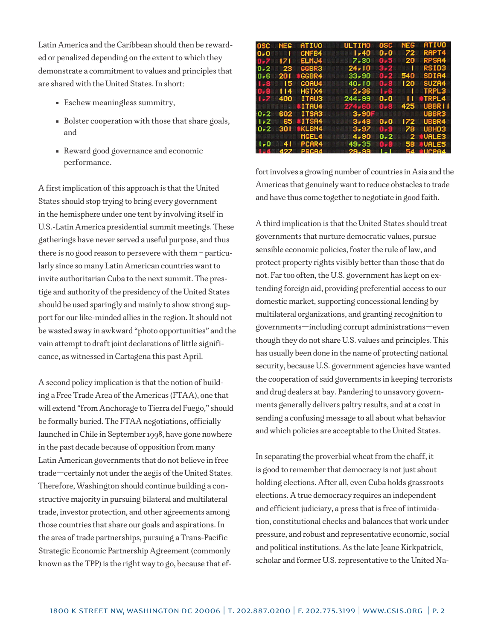Latin America and the Caribbean should then be rewarded or penalized depending on the extent to which they demonstrate a commitment to values and principles that are shared with the United States. In short:

- Eschew meaningless summitry,
- Bolster cooperation with those that share goals, and
- Reward good governance and economic performance.

A first implication of this approach is that the United States should stop trying to bring every government in the hemisphere under one tent by involving itself in U.S.-Latin America presidential summit meetings. These gatherings have never served a useful purpose, and thus there is no good reason to persevere with them – particularly since so many Latin American countries want to invite authoritarian Cuba to the next summit. The prestige and authority of the presidency of the United States should be used sparingly and mainly to show strong support for our like-minded allies in the region. It should not be wasted away in awkward "photo opportunities" and the vain attempt to draft joint declarations of little significance, as witnessed in Cartagena this past April.

A second policy implication is that the notion of building a Free Trade Area of the Americas (FTAA), one that will extend "from Anchorage to Tierra del Fuego," should be formally buried. The FTAA negotiations, officially launched in Chile in September 1998, have gone nowhere in the past decade because of opposition from many Latin American governments that do not believe in free trade—certainly not under the aegis of the United States. Therefore, Washington should continue building a constructive majority in pursuing bilateral and multilateral trade, investor protection, and other agreements among those countries that share our goals and aspirations. In the area of trade partnerships, pursuing a Trans-Pacific Strategic Economic Partnership Agreement (commonly known as the TPP) is the right way to go, because that ef-

| 0SC.        | NEG            | ATIVO             | <b>ULTIMO</b> | osc     | NEG  | <b>ATIVO</b>  |
|-------------|----------------|-------------------|---------------|---------|------|---------------|
| 0-0         |                | CNFB4             | $1 - 40$      | 0-0     | 72   | RAPT4         |
|             |                | ELMJ4             | 7.30          | -0.5    | 20   | RPSA4         |
| $0 - 2$     | -23            | GGBR3             | $24 - 10$     | $3-2$   |      | <b>RSID3</b>  |
| 0-6         | - 201          | <b>GGBR4</b>      | 33,90         | $0 - 2$ | 540  | SDIA4         |
| 1.8         | - 15           | GOAU4             | $40 - 10$     | 0-8     | 120. | SUZA4         |
|             | l 14           | HGTX4             | $2 - 36$      | -6      | 1    | <b>TRPL3</b>  |
| $1 - 7$ 400 |                | <b>ITAU3</b>      | 244,99        | 0.0     | ''   | <b>STRPL4</b> |
|             | <b>Britain</b> | <b>ITAU4</b>      | 274.60        | 0-8     | 425  | UBBR I I      |
| $0 - 2$     | 602            | ITSA3             | 3,90F         |         |      | UBBR3         |
| $1 - 2$     | - 65           | <b>ITSA4</b>      | $3 - 48$      | 0.0     | 172  | UBBR4         |
| $0 - 2$     | 301.           | <b>*KLBN4</b>     | 3,97          | n. 9    | 78.  | UBHD3         |
|             |                | MGEL4             | 4,90          | 0-2     |      | 2 UALE3       |
| 1 - N       | 41             | PCAR4             | 49.35         | 0. E    |      | 58 #UALES     |
|             | 427            | PRG <sub>R4</sub> | $29 - 99$     |         |      | 54 SUCPR4     |

fort involves a growing number of countries in Asia and the Americas that genuinely want to reduce obstacles to trade and have thus come together to negotiate in good faith.

A third implication is that the United States should treat governments that nurture democratic values, pursue sensible economic policies, foster the rule of law, and protect property rights visibly better than those that do not. Far too often, the U.S. government has kept on extending foreign aid, providing preferential access to our domestic market, supporting concessional lending by multilateral organizations, and granting recognition to governments—including corrupt administrations—even though they do not share U.S. values and principles. This has usually been done in the name of protecting national security, because U.S. government agencies have wanted the cooperation of said governments in keeping terrorists and drug dealers at bay. Pandering to unsavory governments generally delivers paltry results, and at a cost in sending a confusing message to all about what behavior and which policies are acceptable to the United States.

In separating the proverbial wheat from the chaff, it is good to remember that democracy is not just about holding elections. After all, even Cuba holds grassroots elections. A true democracy requires an independent and efficient judiciary, a press that is free of intimidation, constitutional checks and balances that work under pressure, and robust and representative economic, social and political institutions. As the late Jeane Kirkpatrick, scholar and former U.S. representative to the United Na-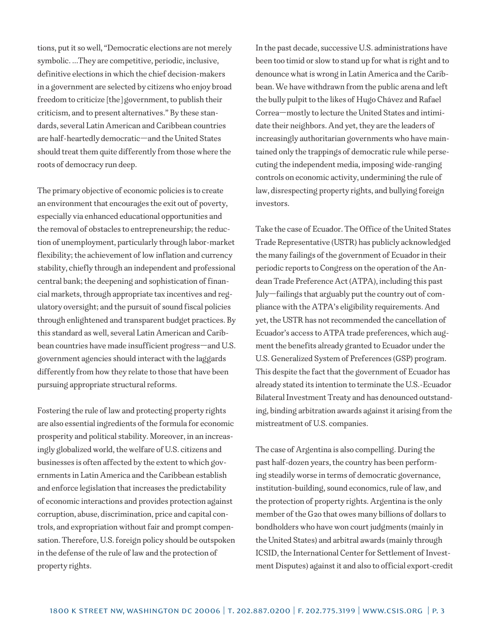tions, put it so well, "Democratic elections are not merely symbolic. ...They are competitive, periodic, inclusive, definitive elections in which the chief decision-makers in a government are selected by citizens who enjoy broad freedom to criticize [the] government, to publish their criticism, and to present alternatives." By these standards, several Latin American and Caribbean countries are half-heartedly democratic—and the United States should treat them quite differently from those where the roots of democracy run deep.

The primary objective of economic policies is to create an environment that encourages the exit out of poverty, especially via enhanced educational opportunities and the removal of obstacles to entrepreneurship; the reduction of unemployment, particularly through labor-market flexibility; the achievement of low inflation and currency stability, chiefly through an independent and professional central bank; the deepening and sophistication of financial markets, through appropriate tax incentives and regulatory oversight; and the pursuit of sound fiscal policies through enlightened and transparent budget practices. By this standard as well, several Latin American and Caribbean countries have made insufficient progress—and U.S. government agencies should interact with the laggards differently from how they relate to those that have been pursuing appropriate structural reforms.

Fostering the rule of law and protecting property rights are also essential ingredients of the formula for economic prosperity and political stability. Moreover, in an increasingly globalized world, the welfare of U.S. citizens and businesses is often affected by the extent to which governments in Latin America and the Caribbean establish and enforce legislation that increases the predictability of economic interactions and provides protection against corruption, abuse, discrimination, price and capital controls, and expropriation without fair and prompt compensation. Therefore, U.S. foreign policy should be outspoken in the defense of the rule of law and the protection of property rights.

In the past decade, successive U.S. administrations have been too timid or slow to stand up for what is right and to denounce what is wrong in Latin America and the Caribbean. We have withdrawn from the public arena and left the bully pulpit to the likes of Hugo Chávez and Rafael Correa—mostly to lecture the United States and intimidate their neighbors. And yet, they are the leaders of increasingly authoritarian governments who have maintained only the trappings of democratic rule while persecuting the independent media, imposing wide-ranging controls on economic activity, undermining the rule of law, disrespecting property rights, and bullying foreign investors.

Take the case of Ecuador. The Office of the United States Trade Representative (USTR) has publicly acknowledged the many failings of the government of Ecuador in their periodic reports to Congress on the operation of the Andean Trade Preference Act (ATPA), including this past July—failings that arguably put the country out of compliance with the ATPA's eligibility requirements. And yet, the USTR has not recommended the cancellation of Ecuador's access to ATPA trade preferences, which augment the benefits already granted to Ecuador under the U.S. Generalized System of Preferences (GSP) program. This despite the fact that the government of Ecuador has already stated its intention to terminate the U.S.-Ecuador Bilateral Investment Treaty and has denounced outstanding, binding arbitration awards against it arising from the mistreatment of U.S. companies.

The case of Argentina is also compelling. During the past half-dozen years, the country has been performing steadily worse in terms of democratic governance, institution-building, sound economics, rule of law, and the protection of property rights. Argentina is the only member of the G20 that owes many billions of dollars to bondholders who have won court judgments (mainly in the United States) and arbitral awards (mainly through ICSID, the International Center for Settlement of Investment Disputes) against it and also to official export-credit